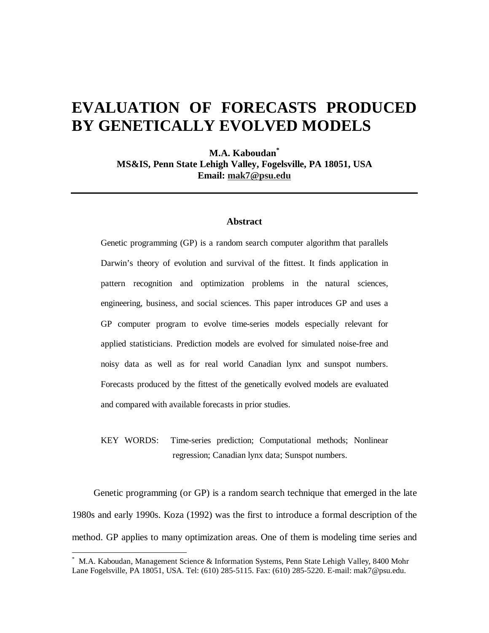# **EVALUATION OF FORECASTS PRODUCED BY GENETICALLY EVOLVED MODELS**

**M.A. Kaboudan\* MS&IS, Penn State Lehigh Valley, Fogelsville, PA 18051, USA Email: mak7@psu.edu**

## **Abstract**

Genetic programming (GP) is a random search computer algorithm that parallels Darwin's theory of evolution and survival of the fittest. It finds application in pattern recognition and optimization problems in the natural sciences, engineering, business, and social sciences. This paper introduces GP and uses a GP computer program to evolve time-series models especially relevant for applied statisticians. Prediction models are evolved for simulated noise-free and noisy data as well as for real world Canadian lynx and sunspot numbers. Forecasts produced by the fittest of the genetically evolved models are evaluated and compared with available forecasts in prior studies.

KEY WORDS: Time-series prediction; Computational methods; Nonlinear regression; Canadian lynx data; Sunspot numbers.

Genetic programming (or GP) is a random search technique that emerged in the late 1980s and early 1990s. Koza (1992) was the first to introduce a formal description of the method. GP applies to many optimization areas. One of them is modeling time series and

<sup>\*</sup> M.A. Kaboudan, Management Science & Information Systems, Penn State Lehigh Valley, 8400 Mohr Lane Fogelsville, PA 18051, USA. Tel: (610) 285-5115. Fax: (610) 285-5220. E-mail: mak7@psu.edu.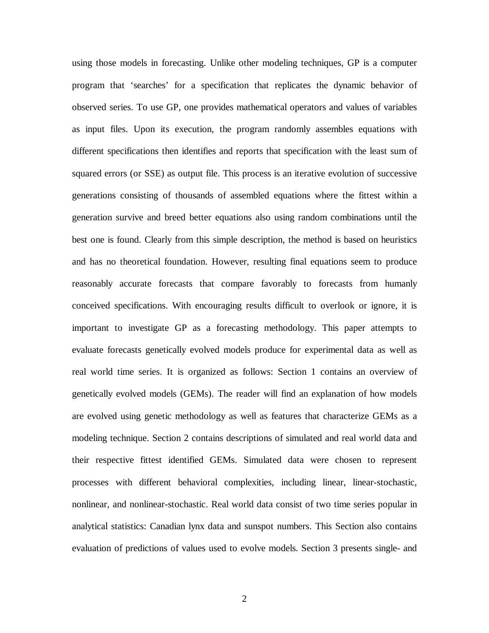using those models in forecasting. Unlike other modeling techniques, GP is a computer program that 'searches' for a specification that replicates the dynamic behavior of observed series. To use GP, one provides mathematical operators and values of variables as input files. Upon its execution, the program randomly assembles equations with different specifications then identifies and reports that specification with the least sum of squared errors (or SSE) as output file. This process is an iterative evolution of successive generations consisting of thousands of assembled equations where the fittest within a generation survive and breed better equations also using random combinations until the best one is found. Clearly from this simple description, the method is based on heuristics and has no theoretical foundation. However, resulting final equations seem to produce reasonably accurate forecasts that compare favorably to forecasts from humanly conceived specifications. With encouraging results difficult to overlook or ignore, it is important to investigate GP as a forecasting methodology. This paper attempts to evaluate forecasts genetically evolved models produce for experimental data as well as real world time series. It is organized as follows: Section 1 contains an overview of genetically evolved models (GEMs). The reader will find an explanation of how models are evolved using genetic methodology as well as features that characterize GEMs as a modeling technique. Section 2 contains descriptions of simulated and real world data and their respective fittest identified GEMs. Simulated data were chosen to represent processes with different behavioral complexities, including linear, linear-stochastic, nonlinear, and nonlinear-stochastic. Real world data consist of two time series popular in analytical statistics: Canadian lynx data and sunspot numbers. This Section also contains evaluation of predictions of values used to evolve models. Section 3 presents single- and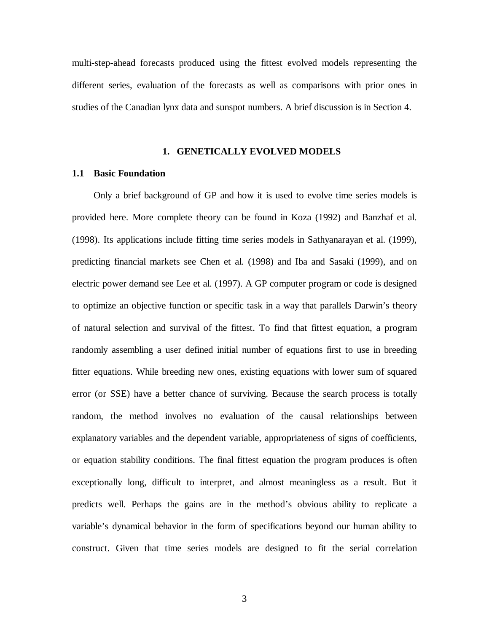multi-step-ahead forecasts produced using the fittest evolved models representing the different series, evaluation of the forecasts as well as comparisons with prior ones in studies of the Canadian lynx data and sunspot numbers. A brief discussion is in Section 4.

## **1. GENETICALLY EVOLVED MODELS**

## **1.1 Basic Foundation**

Only a brief background of GP and how it is used to evolve time series models is provided here. More complete theory can be found in Koza (1992) and Banzhaf et al. (1998). Its applications include fitting time series models in Sathyanarayan et al. (1999), predicting financial markets see Chen et al. (1998) and Iba and Sasaki (1999), and on electric power demand see Lee et al. (1997). A GP computer program or code is designed to optimize an objective function or specific task in a way that parallels Darwin's theory of natural selection and survival of the fittest. To find that fittest equation, a program randomly assembling a user defined initial number of equations first to use in breeding fitter equations. While breeding new ones, existing equations with lower sum of squared error (or SSE) have a better chance of surviving. Because the search process is totally random, the method involves no evaluation of the causal relationships between explanatory variables and the dependent variable, appropriateness of signs of coefficients, or equation stability conditions. The final fittest equation the program produces is often exceptionally long, difficult to interpret, and almost meaningless as a result. But it predicts well. Perhaps the gains are in the method's obvious ability to replicate a variable's dynamical behavior in the form of specifications beyond our human ability to construct. Given that time series models are designed to fit the serial correlation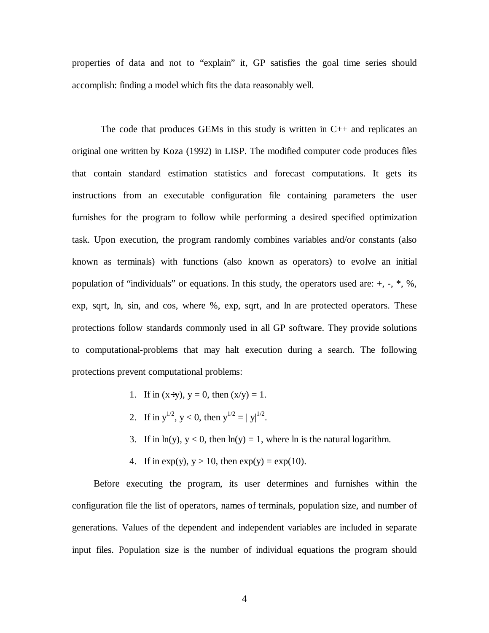properties of data and not to "explain" it, GP satisfies the goal time series should accomplish: finding a model which fits the data reasonably well.

The code that produces GEMs in this study is written in  $C++$  and replicates an original one written by Koza (1992) in LISP. The modified computer code produces files that contain standard estimation statistics and forecast computations. It gets its instructions from an executable configuration file containing parameters the user furnishes for the program to follow while performing a desired specified optimization task. Upon execution, the program randomly combines variables and/or constants (also known as terminals) with functions (also known as operators) to evolve an initial population of "individuals" or equations. In this study, the operators used are: +, -, \*, %, exp, sqrt, ln, sin, and cos, where %, exp, sqrt, and ln are protected operators. These protections follow standards commonly used in all GP software. They provide solutions to computational-problems that may halt execution during a search. The following protections prevent computational problems:

- 1. If in  $(x+y)$ ,  $y = 0$ , then  $(x/y) = 1$ .
- 2. If in  $y^{1/2}$ ,  $y < 0$ , then  $y^{1/2} = |y|^{1/2}$ .
- 3. If in  $ln(y)$ ,  $y < 0$ , then  $ln(y) = 1$ , where ln is the natural logarithm.
- 4. If in  $exp(y)$ ,  $y > 10$ , then  $exp(y) = exp(10)$ .

Before executing the program, its user determines and furnishes within the configuration file the list of operators, names of terminals, population size, and number of generations. Values of the dependent and independent variables are included in separate input files. Population size is the number of individual equations the program should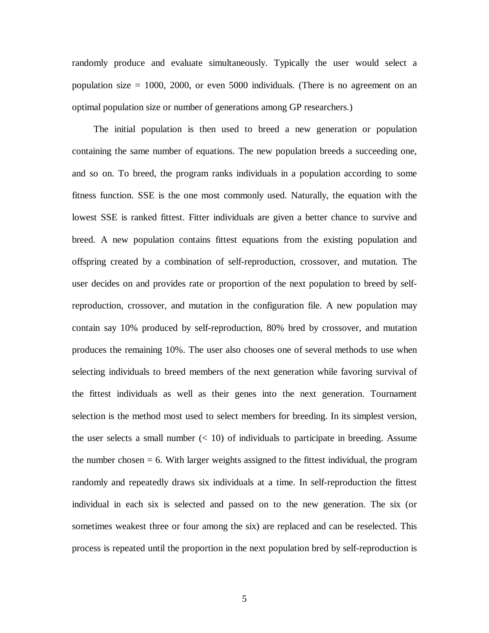randomly produce and evaluate simultaneously. Typically the user would select a population size = 1000, 2000, or even 5000 individuals. (There is no agreement on an optimal population size or number of generations among GP researchers.)

The initial population is then used to breed a new generation or population containing the same number of equations. The new population breeds a succeeding one, and so on. To breed, the program ranks individuals in a population according to some fitness function. SSE is the one most commonly used. Naturally, the equation with the lowest SSE is ranked fittest. Fitter individuals are given a better chance to survive and breed. A new population contains fittest equations from the existing population and offspring created by a combination of self-reproduction, crossover, and mutation. The user decides on and provides rate or proportion of the next population to breed by selfreproduction, crossover, and mutation in the configuration file. A new population may contain say 10% produced by self-reproduction, 80% bred by crossover, and mutation produces the remaining 10%. The user also chooses one of several methods to use when selecting individuals to breed members of the next generation while favoring survival of the fittest individuals as well as their genes into the next generation. Tournament selection is the method most used to select members for breeding. In its simplest version, the user selects a small number  $\ll$  10) of individuals to participate in breeding. Assume the number chosen  $= 6$ . With larger weights assigned to the fittest individual, the program randomly and repeatedly draws six individuals at a time. In self-reproduction the fittest individual in each six is selected and passed on to the new generation. The six (or sometimes weakest three or four among the six) are replaced and can be reselected. This process is repeated until the proportion in the next population bred by self-reproduction is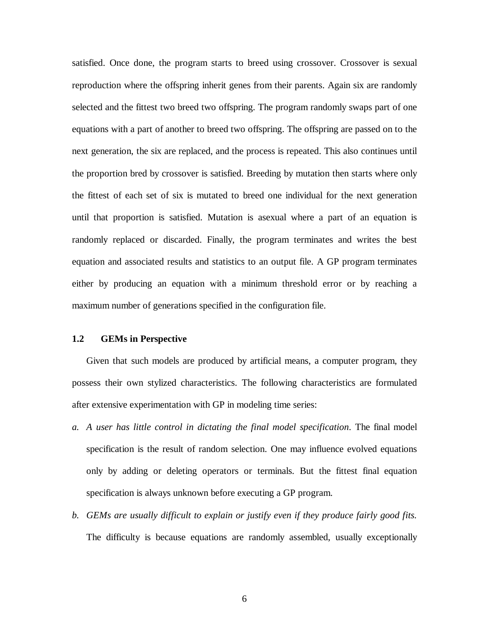satisfied. Once done, the program starts to breed using crossover. Crossover is sexual reproduction where the offspring inherit genes from their parents. Again six are randomly selected and the fittest two breed two offspring. The program randomly swaps part of one equations with a part of another to breed two offspring. The offspring are passed on to the next generation, the six are replaced, and the process is repeated. This also continues until the proportion bred by crossover is satisfied. Breeding by mutation then starts where only the fittest of each set of six is mutated to breed one individual for the next generation until that proportion is satisfied. Mutation is asexual where a part of an equation is randomly replaced or discarded. Finally, the program terminates and writes the best equation and associated results and statistics to an output file. A GP program terminates either by producing an equation with a minimum threshold error or by reaching a maximum number of generations specified in the configuration file.

# **1.2 GEMs in Perspective**

Given that such models are produced by artificial means, a computer program, they possess their own stylized characteristics. The following characteristics are formulated after extensive experimentation with GP in modeling time series:

- *a. A user has little control in dictating the final model specification*. The final model specification is the result of random selection. One may influence evolved equations only by adding or deleting operators or terminals. But the fittest final equation specification is always unknown before executing a GP program.
- *b. GEMs are usually difficult to explain or justify even if they produce fairly good fits.* The difficulty is because equations are randomly assembled, usually exceptionally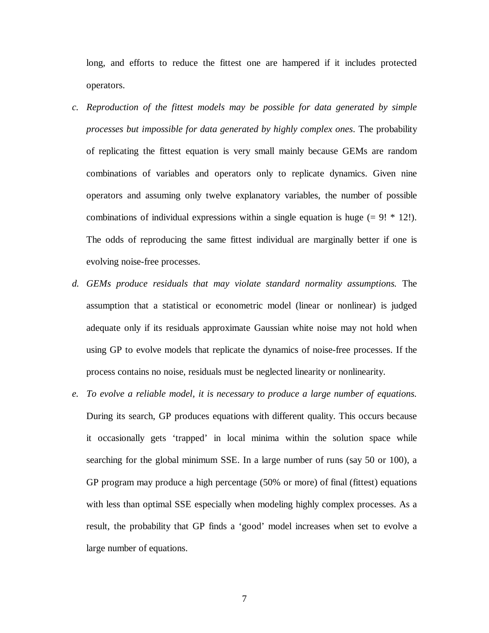long, and efforts to reduce the fittest one are hampered if it includes protected operators.

- *c. Reproduction of the fittest models may be possible for data generated by simple processes but impossible for data generated by highly complex ones*. The probability of replicating the fittest equation is very small mainly because GEMs are random combinations of variables and operators only to replicate dynamics. Given nine operators and assuming only twelve explanatory variables, the number of possible combinations of individual expressions within a single equation is huge  $(= 9! * 12!)$ . The odds of reproducing the same fittest individual are marginally better if one is evolving noise-free processes.
- *d. GEMs produce residuals that may violate standard normality assumptions.* The assumption that a statistical or econometric model (linear or nonlinear) is judged adequate only if its residuals approximate Gaussian white noise may not hold when using GP to evolve models that replicate the dynamics of noise-free processes. If the process contains no noise, residuals must be neglected linearity or nonlinearity.
- *e. To evolve a reliable model, it is necessary to produce a large number of equations.* During its search, GP produces equations with different quality. This occurs because it occasionally gets 'trapped' in local minima within the solution space while searching for the global minimum SSE. In a large number of runs (say 50 or 100), a GP program may produce a high percentage (50% or more) of final (fittest) equations with less than optimal SSE especially when modeling highly complex processes. As a result, the probability that GP finds a 'good' model increases when set to evolve a large number of equations.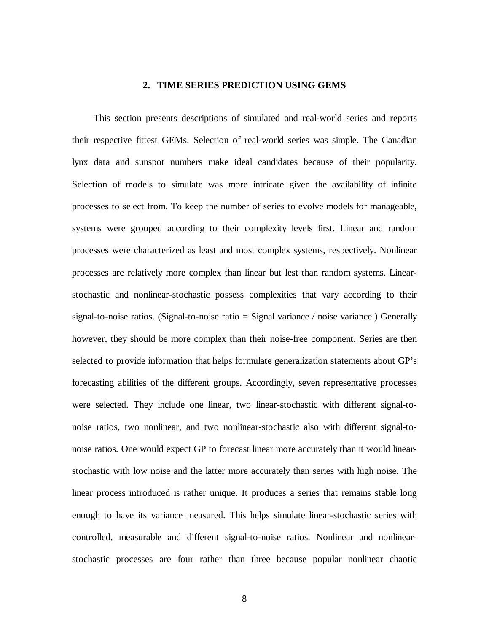## **2. TIME SERIES PREDICTION USING GEMS**

This section presents descriptions of simulated and real-world series and reports their respective fittest GEMs. Selection of real-world series was simple. The Canadian lynx data and sunspot numbers make ideal candidates because of their popularity. Selection of models to simulate was more intricate given the availability of infinite processes to select from. To keep the number of series to evolve models for manageable, systems were grouped according to their complexity levels first. Linear and random processes were characterized as least and most complex systems, respectively. Nonlinear processes are relatively more complex than linear but lest than random systems. Linearstochastic and nonlinear-stochastic possess complexities that vary according to their signal-to-noise ratios. (Signal-to-noise ratio = Signal variance / noise variance.) Generally however, they should be more complex than their noise-free component. Series are then selected to provide information that helps formulate generalization statements about GP's forecasting abilities of the different groups. Accordingly, seven representative processes were selected. They include one linear, two linear-stochastic with different signal-tonoise ratios, two nonlinear, and two nonlinear-stochastic also with different signal-tonoise ratios. One would expect GP to forecast linear more accurately than it would linearstochastic with low noise and the latter more accurately than series with high noise. The linear process introduced is rather unique. It produces a series that remains stable long enough to have its variance measured. This helps simulate linear-stochastic series with controlled, measurable and different signal-to-noise ratios. Nonlinear and nonlinearstochastic processes are four rather than three because popular nonlinear chaotic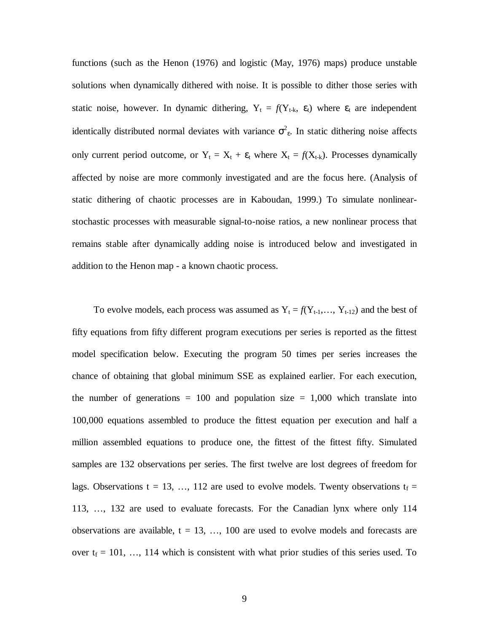functions (such as the Henon (1976) and logistic (May, 1976) maps) produce unstable solutions when dynamically dithered with noise. It is possible to dither those series with static noise, however. In dynamic dithering,  $Y_t = f(Y_{t-k}, \varepsilon_t)$  where  $\varepsilon_t$  are independent identically distributed normal deviates with variance  $\sigma^2$ . In static dithering noise affects only current period outcome, or  $Y_t = X_t + \varepsilon_t$  where  $X_t = f(X_{t-k})$ . Processes dynamically affected by noise are more commonly investigated and are the focus here. (Analysis of static dithering of chaotic processes are in Kaboudan, 1999.) To simulate nonlinearstochastic processes with measurable signal-to-noise ratios, a new nonlinear process that remains stable after dynamically adding noise is introduced below and investigated in addition to the Henon map - a known chaotic process.

To evolve models, each process was assumed as  $Y_t = f(Y_{t-1},..., Y_{t-12})$  and the best of fifty equations from fifty different program executions per series is reported as the fittest model specification below. Executing the program 50 times per series increases the chance of obtaining that global minimum SSE as explained earlier. For each execution, the number of generations  $= 100$  and population size  $= 1,000$  which translate into 100,000 equations assembled to produce the fittest equation per execution and half a million assembled equations to produce one, the fittest of the fittest fifty. Simulated samples are 132 observations per series. The first twelve are lost degrees of freedom for lags. Observations t = 13, ..., 112 are used to evolve models. Twenty observations  $t_f$  = 113, …, 132 are used to evaluate forecasts. For the Canadian lynx where only 114 observations are available,  $t = 13, \ldots, 100$  are used to evolve models and forecasts are over  $t_f = 101, \ldots, 114$  which is consistent with what prior studies of this series used. To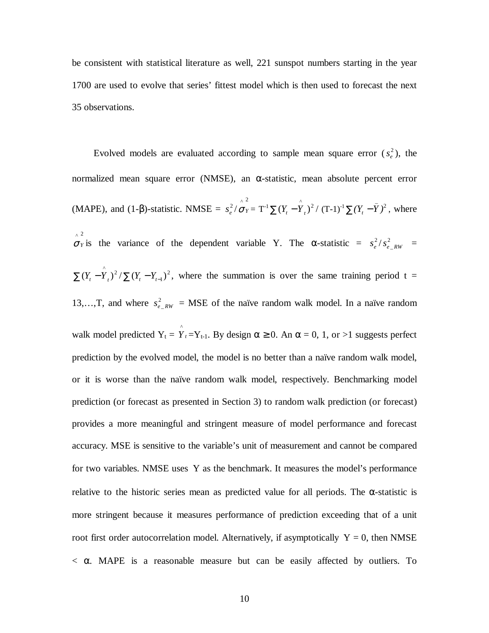be consistent with statistical literature as well, 221 sunspot numbers starting in the year 1700 are used to evolve that series' fittest model which is then used to forecast the next 35 observations.

Evolved models are evaluated according to sample mean square error  $(s_e^2)$ , the normalized mean square error (NMSE), an α-statistic, mean absolute percent error (MAPE), and (1- $\beta$ )-statistic. NMSE =  $s_e^2$ /  $\sigma_Y^2 = T^{-1} \sum (Y_t - \hat{Y}_t)^2 / (T-1)^{-1} \sum (Y_t - \bar{Y})^2$ , where  $\sigma_Y$  is the variance of the dependent variable Y. The  $\alpha$ -statistic =  $s_e^2 / s_{e-RW}^2$  =  $\sum (Y_t - \hat{Y}_t)^2 / \sum (Y_t - Y_{t-1})^2$ , where the summation is over the same training period t = 13,…,T, and where  $s_{e-RW}^2 = \text{MSE}$  of the naïve random walk model. In a naïve random walk model predicted  $Y_t = \hat{Y}_t = Y_{t-1}$ . By design  $\alpha \ge 0$ . An  $\alpha = 0, 1$ , or >1 suggests perfect prediction by the evolved model, the model is no better than a naïve random walk model, or it is worse than the naïve random walk model, respectively. Benchmarking model prediction (or forecast as presented in Section 3) to random walk prediction (or forecast) provides a more meaningful and stringent measure of model performance and forecast accuracy. MSE is sensitive to the variable's unit of measurement and cannot be compared for two variables. NMSE uses  $\bar{Y}$  as the benchmark. It measures the model's performance relative to the historic series mean as predicted value for all periods. The  $\alpha$ -statistic is more stringent because it measures performance of prediction exceeding that of a unit root first order autocorrelation model. Alternatively, if asymptotically  $\overline{Y} = 0$ , then NMSE  $< \alpha$ . MAPE is a reasonable measure but can be easily affected by outliers. To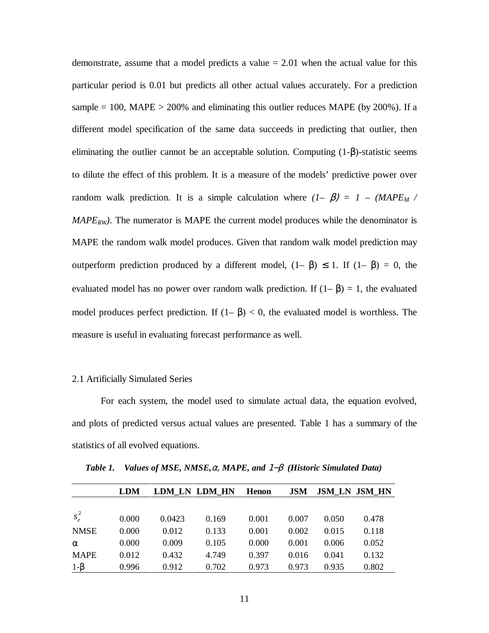demonstrate, assume that a model predicts a value  $= 2.01$  when the actual value for this particular period is 0.01 but predicts all other actual values accurately. For a prediction sample  $= 100$ , MAPE  $> 200\%$  and eliminating this outlier reduces MAPE (by 200%). If a different model specification of the same data succeeds in predicting that outlier, then eliminating the outlier cannot be an acceptable solution. Computing (1-β)-statistic seems to dilute the effect of this problem. It is a measure of the models' predictive power over random walk prediction. It is a simple calculation where  $(I - \beta) = I - (MAPE_M / N)$  $MAPE_{RW}$ ). The numerator is MAPE the current model produces while the denominator is MAPE the random walk model produces. Given that random walk model prediction may outperform prediction produced by a different model,  $(1− β) ≤ 1$ . If  $(1− β) = 0$ , the evaluated model has no power over random walk prediction. If  $(1-\beta) = 1$ , the evaluated model produces perfect prediction. If  $(1 - \beta) < 0$ , the evaluated model is worthless. The measure is useful in evaluating forecast performance as well.

# 2.1 Artificially Simulated Series

For each system, the model used to simulate actual data, the equation evolved, and plots of predicted versus actual values are presented. Table 1 has a summary of the statistics of all evolved equations.

|             | <b>LDM</b> | LDM LN LDM HN |       | <b>Henon</b> | <b>JSM</b> |       | <b>JSM LN JSM HN</b> |
|-------------|------------|---------------|-------|--------------|------------|-------|----------------------|
|             |            |               |       |              |            |       |                      |
| $s_e^2$     | 0.000      | 0.0423        | 0.169 | 0.001        | 0.007      | 0.050 | 0.478                |
| <b>NMSE</b> | 0.000      | 0.012         | 0.133 | 0.001        | 0.002      | 0.015 | 0.118                |
| $\alpha$    | 0.000      | 0.009         | 0.105 | 0.000        | 0.001      | 0.006 | 0.052                |
| <b>MAPE</b> | 0.012      | 0.432         | 4.749 | 0.397        | 0.016      | 0.041 | 0.132                |
| $1-\beta$   | 0.996      | 0.912         | 0.702 | 0.973        | 0.973      | 0.935 | 0.802                |

*Table 1. Values of MSE, NMSE,*α, *MAPE, and* 1−β *(Historic Simulated Data)*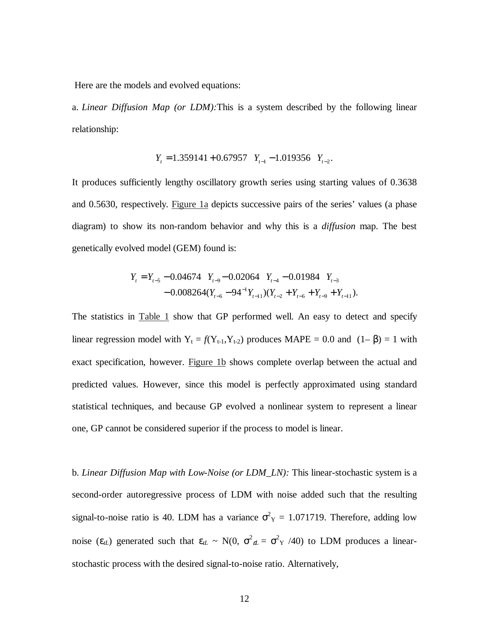Here are the models and evolved equations:

a. *Linear Diffusion Map (or LDM):*This is a system described by the following linear relationship:

$$
Y_t = 1.359141 + 0.67957
$$
  $Y_{t-1} - 1.019356$   $Y_{t-2}$ .

It produces sufficiently lengthy oscillatory growth series using starting values of 0.3638 and 0.5630, respectively. Figure 1a depicts successive pairs of the series' values (a phase diagram) to show its non-random behavior and why this is a *diffusion* map. The best genetically evolved model (GEM) found is:

$$
Y_{t} = Y_{t-5} - 0.04674 \quad Y_{t-9} - 0.02064 \quad Y_{t-4} - 0.01984 \quad Y_{t-3}
$$

$$
- 0.008264(Y_{t-6} - 94^{-1}Y_{t-1})(Y_{t-2} + Y_{t-6} + Y_{t-9} + Y_{t-1}).
$$

The statistics in Table 1 show that GP performed well. An easy to detect and specify linear regression model with  $Y_t = f(Y_{t-1}, Y_{t-2})$  produces MAPE = 0.0 and  $(1-\beta) = 1$  with exact specification, however. Figure 1b shows complete overlap between the actual and predicted values. However, since this model is perfectly approximated using standard statistical techniques, and because GP evolved a nonlinear system to represent a linear one, GP cannot be considered superior if the process to model is linear.

b. *Linear Diffusion Map with Low-Noise (or LDM\_LN):* This linear-stochastic system is a second-order autoregressive process of LDM with noise added such that the resulting signal-to-noise ratio is 40. LDM has a variance  $\sigma_Y^2 = 1.071719$ . Therefore, adding low noise ( $\varepsilon_{tL}$ ) generated such that  $\varepsilon_{tL} \sim N(0, \sigma^2_{\varepsilon L} = \sigma^2_{Y} / 40)$  to LDM produces a linearstochastic process with the desired signal-to-noise ratio. Alternatively,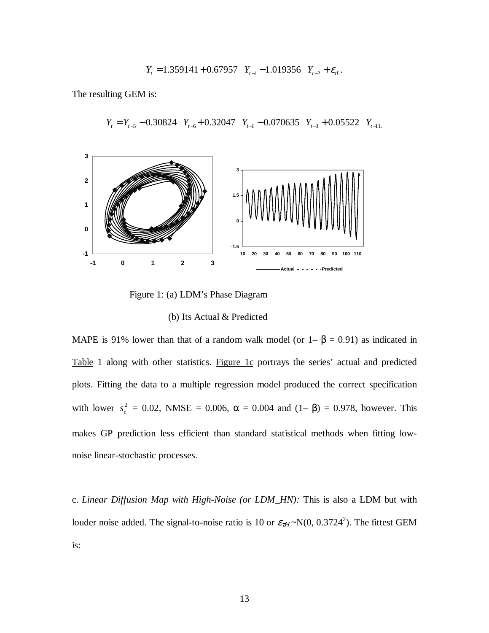$$
Y_t = 1.359141 + 0.67957
$$
  $Y_{t-1} - 1.019356$   $Y_{t-2} + \varepsilon_{t}.$ 

The resulting GEM is:



 $Y_t = Y_{t-5} - 0.30824$   $Y_{t-6} + 0.32047$   $Y_{t-1} - 0.070635$   $Y_{t-3} + 0.05522$   $Y_{t-11}$ 

Figure 1: (a) LDM's Phase Diagram

## (b) Its Actual & Predicted

MAPE is 91% lower than that of a random walk model (or  $1 - \beta = 0.91$ ) as indicated in Table 1 along with other statistics. Figure 1c portrays the series' actual and predicted plots. Fitting the data to a multiple regression model produced the correct specification with lower  $s_e^2 = 0.02$ , NMSE = 0.006,  $\alpha = 0.004$  and  $(1-\beta) = 0.978$ , however. This makes GP prediction less efficient than standard statistical methods when fitting lownoise linear-stochastic processes.

c. *Linear Diffusion Map with High-Noise (or LDM\_HN):* This is also a LDM but with louder noise added. The signal-to-noise ratio is 10 or  $\varepsilon_{\tau H} \sim N(0, 0.3724^2)$ . The fittest GEM is: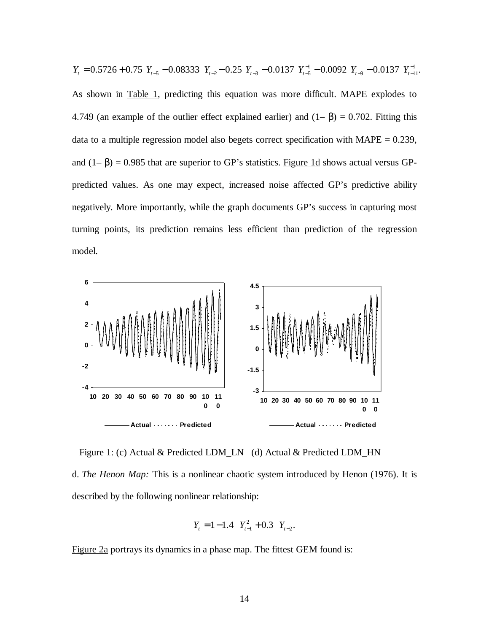$0.5726 + 0.75$   $Y_{t-5} - 0.08333$   $Y_{t-2} - 0.25$   $Y_{t-3} - 0.0137$   $Y_{t-5}^{-1} - 0.0092$   $Y_{t-9} - 0.0137$   $Y_{t-11}^{-1}$ . 1 5 0.00000  $I_{t-2}$  0.20  $I_{t-3}$  0.010  $I_{t-5}$ −  $Y_t = 0.5726 + 0.75$   $Y_{t-5} - 0.08333$   $Y_{t-2} - 0.25$   $Y_{t-3} - 0.0137$   $Y_{t-5} - 0.0092$   $Y_{t-9} - 0.0137$   $Y_t$ As shown in Table 1, predicting this equation was more difficult. MAPE explodes to 4.749 (an example of the outlier effect explained earlier) and  $(1 - \beta) = 0.702$ . Fitting this data to a multiple regression model also begets correct specification with  $MAPE = 0.239$ , and  $(1-\beta) = 0.985$  that are superior to GP's statistics. Figure 1d shows actual versus GPpredicted values. As one may expect, increased noise affected GP's predictive ability negatively. More importantly, while the graph documents GP's success in capturing most turning points, its prediction remains less efficient than prediction of the regression model.



Figure 1: (c) Actual & Predicted LDM\_LN (d) Actual & Predicted LDM\_HN

d. *The Henon Map:* This is a nonlinear chaotic system introduced by Henon (1976). It is described by the following nonlinear relationship:

$$
Y_t = 1 - 1.4 \quad Y_{t-1}^2 + 0.3 \quad Y_{t-2}.
$$

Figure 2a portrays its dynamics in a phase map. The fittest GEM found is: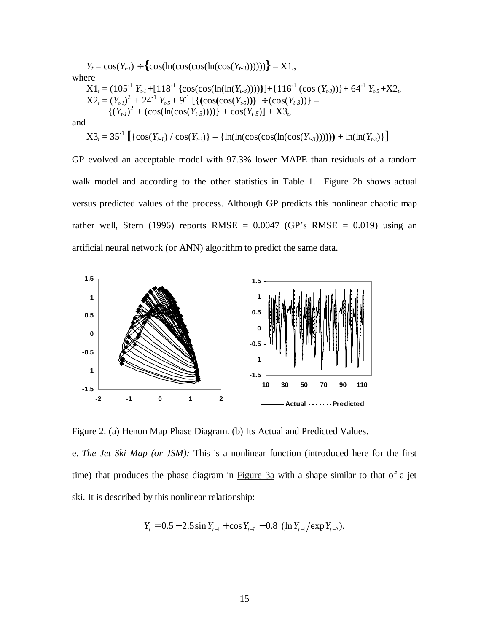$Y_t = \cos(Y_{t-1}) \div \{ \cos(\ln(\cos(\cos(\ln(\cos(Y_{t-3})))))) \} - X1$ <sub>t</sub> where  $X1_t = (105^{-1} Y_{t-1} + [118^{-1} {\text{[cos(cos(in(h(rY_{t-3))))}]}}] + {116^{-1} {\text{[cos (Y_{t-8})]}}} + 64^{-1} Y_{t-5} + X2_t$  $X2_t = (Y_{t-1})^2 + 24^{-1} Y_{t-5} + 9^{-1} [\{(\cos(\cos(Y_{t-5}))) \div (\cos(Y_{t-3}))\} \{(Y_{t-1})^2 + (\cos(\ln(\cos(Y_{t-3}))))\} + \cos(Y_{t-5}) + X3_t,$ and  $X3_t = 35^{-1} \left[ \{ \cos(Y_{t-1}) / \cos(Y_{t-3}) \} - \{ \ln(\ln(\cos(\cos(\ln(\cos(Y_{t-3})))))) + \ln(\ln(Y_{t-3})) \} \right]$ 

GP evolved an acceptable model with 97.3% lower MAPE than residuals of a random walk model and according to the other statistics in Table 1. Figure 2b shows actual versus predicted values of the process. Although GP predicts this nonlinear chaotic map rather well, Stern (1996) reports RMSE =  $0.0047$  (GP's RMSE = 0.019) using an artificial neural network (or ANN) algorithm to predict the same data.



Figure 2. (a) Henon Map Phase Diagram. (b) Its Actual and Predicted Values.

e. *The Jet Ski Map (or JSM):* This is a nonlinear function (introduced here for the first time) that produces the phase diagram in Figure 3a with a shape similar to that of a jet ski. It is described by this nonlinear relationship:

$$
Y_t = 0.5 - 2.5 \sin Y_{t-1} + \cos Y_{t-2} - 0.8 (\ln Y_{t-1} / \exp Y_{t-2}).
$$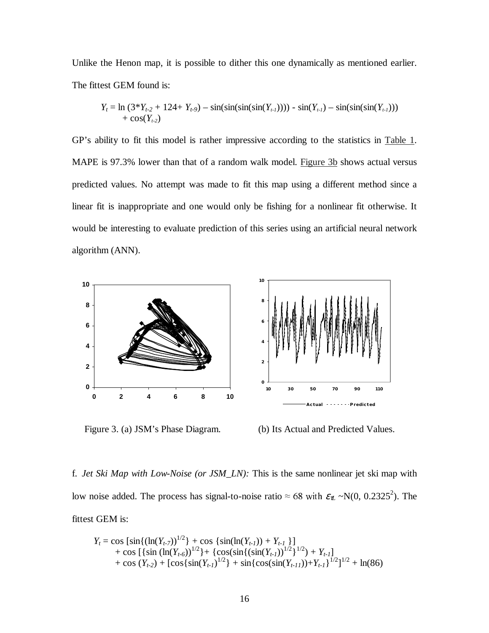Unlike the Henon map, it is possible to dither this one dynamically as mentioned earlier. The fittest GEM found is:

$$
Y_t = \ln (3 * Y_{t-2} + 124 + Y_{t-9}) - \sin(\sin(\sin(\sin(Y_{t-1})))) - \sin(Y_{t-1}) - \sin(\sin(\sin(Y_{t-1}))) + \cos(Y_{t-2})
$$

GP's ability to fit this model is rather impressive according to the statistics in Table 1. MAPE is 97.3% lower than that of a random walk model. Figure 3b shows actual versus predicted values. No attempt was made to fit this map using a different method since a linear fit is inappropriate and one would only be fishing for a nonlinear fit otherwise. It would be interesting to evaluate prediction of this series using an artificial neural network algorithm (ANN).





f. *Jet Ski Map with Low-Noise (or JSM\_LN):* This is the same nonlinear jet ski map with low noise added. The process has signal-to-noise ratio  $\approx 68$  with  $\varepsilon_{\rm n} \sim N(0, 0.2325^2)$ . The fittest GEM is:

$$
Y_t = \cos \left[\sin\left(\left(\ln(Y_{t-7})\right)^{1/2}\right) + \cos\left\{\sin(\ln(Y_{t-1})) + Y_{t-1}\right\}\right] + \cos \left[\left\{\sin\left(\ln(Y_{t-6})\right)^{1/2}\right\} + \left\{\cos\left(\sin\left(\left(\sin(Y_{t-1})\right)\right)^{1/2}\right\}^{1/2}\right) + Y_{t-1}\right] + \cos \left(Y_{t-2}\right) + \left[\cos\left(\sin(Y_{t-1})\right)^{1/2}\right] + \sin\left\{\cos\left(\sin(Y_{t-1})\right)\right\} + Y_{t-1}\right\}^{1/2} + \ln(86)
$$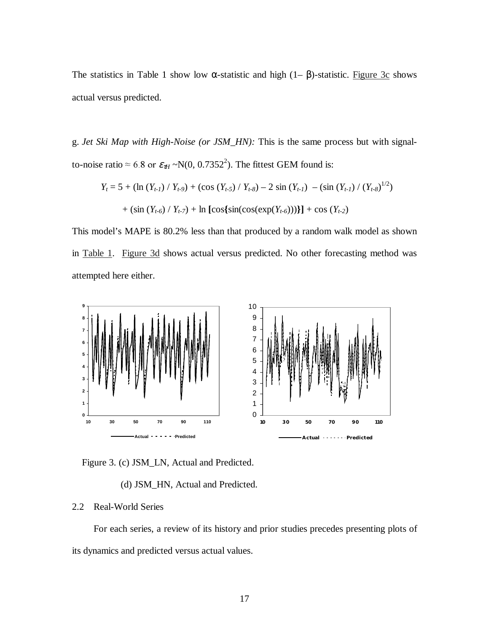The statistics in Table 1 show low  $\alpha$ -statistic and high (1–  $\beta$ )-statistic. Figure 3c shows actual versus predicted.

g. *Jet Ski Map with High-Noise (or JSM\_HN):* This is the same process but with signalto-noise ratio  $\approx 6.8$  or  $\varepsilon_{\tau H} \sim N(0, 0.7352^2)$ . The fittest GEM found is:

$$
Y_t = 5 + (\ln (Y_{t-1}) / Y_{t-9}) + (\cos (Y_{t-5}) / Y_{t-8}) - 2 \sin (Y_{t-1}) - (\sin (Y_{t-1}) / (Y_{t-8})^{1/2})
$$

$$
+ (\sin (Y_{t-6}) / Y_{t-7}) + \ln [\cos {\sin(\cos(\exp(Y_{t-6})))}] + \cos (Y_{t-2})
$$

This model's MAPE is 80.2% less than that produced by a random walk model as shown in Table 1. Figure 3d shows actual versus predicted. No other forecasting method was attempted here either.



Figure 3. (c) JSM\_LN, Actual and Predicted.

(d) JSM\_HN, Actual and Predicted.

# 2.2 Real-World Series

For each series, a review of its history and prior studies precedes presenting plots of its dynamics and predicted versus actual values.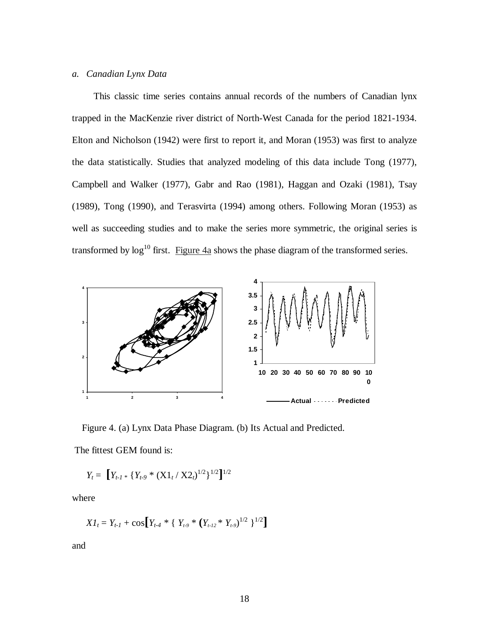# *a. Canadian Lynx Data*

This classic time series contains annual records of the numbers of Canadian lynx trapped in the MacKenzie river district of North-West Canada for the period 1821-1934. Elton and Nicholson (1942) were first to report it, and Moran (1953) was first to analyze the data statistically. Studies that analyzed modeling of this data include Tong (1977), Campbell and Walker (1977), Gabr and Rao (1981), Haggan and Ozaki (1981), Tsay (1989), Tong (1990), and Terasvirta (1994) among others. Following Moran (1953) as well as succeeding studies and to make the series more symmetric, the original series is transformed by  $\log^{10}$  first. Figure  $4a$  shows the phase diagram of the transformed series.



Figure 4. (a) Lynx Data Phase Diagram. (b) Its Actual and Predicted.

The fittest GEM found is:

$$
Y_t = \left[ Y_{t\text{-}1} * \left\{ Y_{t\text{-}9} * (\text{X1}_t / \text{X2}_t)^{1/2} \right\}^{1/2} \right]^{1/2}
$$

where

$$
XI_t = Y_{t-1} + \cos[Y_{t-4} * \{Y_{t-9} * (Y_{t-12} * Y_{t-9})^{1/2}\}^{1/2}]
$$

and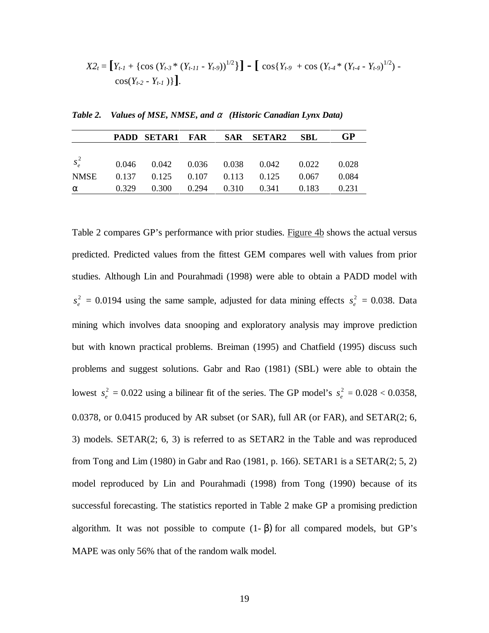$$
X2_t = [Y_{t-1} + \{\cos (Y_{t-3} * (Y_{t-11} - Y_{t-9}))^{1/2}\}] - [\cos (Y_{t-9} + \cos (Y_{t-4} * (Y_{t-4} - Y_{t-9})^{1/2}) - \cos (Y_{t-2} - Y_{t-1})\}].
$$

|          |  |  | PADD SETAR1 FAR SAR SETAR2 SBL                    | GP    |
|----------|--|--|---------------------------------------------------|-------|
|          |  |  |                                                   |       |
|          |  |  | $s_e^2$ 0.046 0.042 0.036 0.038 0.042 0.022 0.028 |       |
| NMSE     |  |  | $0.137$ $0.125$ $0.107$ $0.113$ $0.125$ $0.067$   | 0.084 |
| $\alpha$ |  |  | $0.329$ $0.300$ $0.294$ $0.310$ $0.341$ $0.183$   | 0.231 |

*Table 2. Values of MSE, NMSE, and* α *(Historic Canadian Lynx Data)* 

Table 2 compares GP's performance with prior studies. Figure 4b shows the actual versus predicted. Predicted values from the fittest GEM compares well with values from prior studies. Although Lin and Pourahmadi (1998) were able to obtain a PADD model with  $s_e^2 = 0.0194$  using the same sample, adjusted for data mining effects  $s_e^2 = 0.038$ . Data mining which involves data snooping and exploratory analysis may improve prediction but with known practical problems. Breiman (1995) and Chatfield (1995) discuss such problems and suggest solutions. Gabr and Rao (1981) (SBL) were able to obtain the lowest  $s_e^2 = 0.022$  using a bilinear fit of the series. The GP model's  $s_e^2 = 0.028 < 0.0358$ , 0.0378, or 0.0415 produced by AR subset (or SAR), full AR (or FAR), and SETAR(2; 6, 3) models. SETAR(2; 6, 3) is referred to as SETAR2 in the Table and was reproduced from Tong and Lim (1980) in Gabr and Rao (1981, p. 166). SETAR1 is a SETAR(2; 5, 2) model reproduced by Lin and Pourahmadi (1998) from Tong (1990) because of its successful forecasting. The statistics reported in Table 2 make GP a promising prediction algorithm. It was not possible to compute  $(1-\beta)$  for all compared models, but GP's MAPE was only 56% that of the random walk model.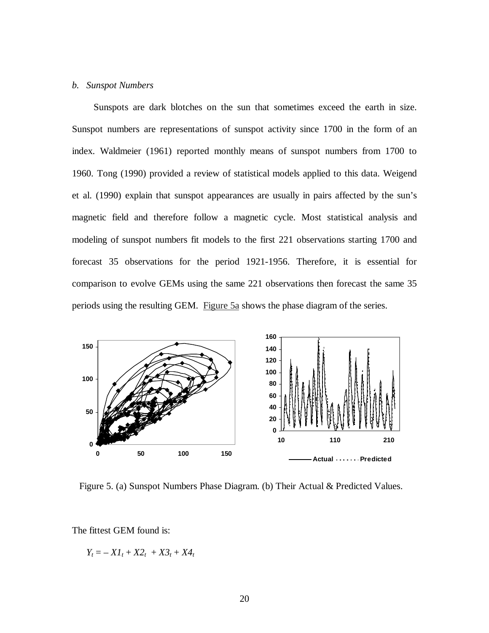## *b. Sunspot Numbers*

Sunspots are dark blotches on the sun that sometimes exceed the earth in size. Sunspot numbers are representations of sunspot activity since 1700 in the form of an index. Waldmeier (1961) reported monthly means of sunspot numbers from 1700 to 1960. Tong (1990) provided a review of statistical models applied to this data. Weigend et al. (1990) explain that sunspot appearances are usually in pairs affected by the sun's magnetic field and therefore follow a magnetic cycle. Most statistical analysis and modeling of sunspot numbers fit models to the first 221 observations starting 1700 and forecast 35 observations for the period 1921-1956. Therefore, it is essential for comparison to evolve GEMs using the same 221 observations then forecast the same 35 periods using the resulting GEM. Figure 5a shows the phase diagram of the series.



Figure 5. (a) Sunspot Numbers Phase Diagram. (b) Their Actual & Predicted Values.

The fittest GEM found is:

 $Y_t = -XI_t + X2_t + X3_t + X4_t$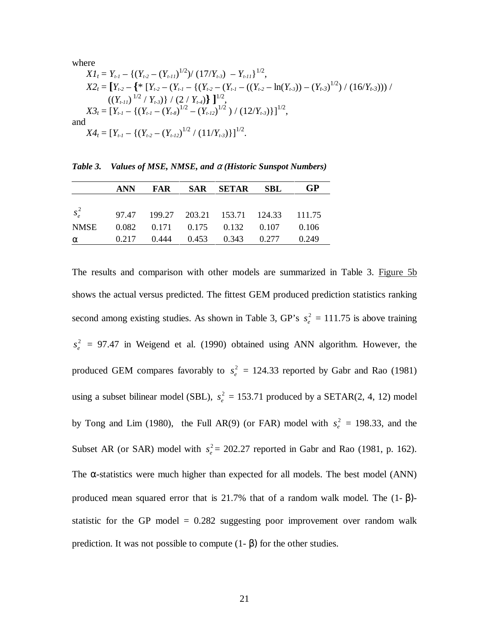where

$$
XI_{t} = Y_{t-1} - \{(Y_{t-2} - (Y_{t-11})^{1/2}) / (17/Y_{t-3}) - Y_{t-11}\}^{1/2},
$$
  
\n
$$
X2_{t} = [Y_{t-2} - \{\ast [Y_{t-2} - (Y_{t-1} - \{(Y_{t-2} - (Y_{t-1} - ((Y_{t-2} - \ln(Y_{t-3})) - (Y_{t-3})^{1/2}) / (16/Y_{t-3})) ) / (2 / Y_{t-3})\} ]^{1/2},
$$
  
\n
$$
X3_{t} = [Y_{t-1} - \{(Y_{t-1} - (Y_{t-8})^{1/2} - (Y_{t-12})^{1/2}) / (12/Y_{t-3})\}]^{1/2},
$$
  
\nand  
\n
$$
X4_{t} = [Y_{t-1} - \{(Y_{t-2} - (Y_{t-12})^{1/2} / (11/Y_{t-3})\}]^{1/2}.
$$

|          | ANN |  | FAR SAR SETAR SBL                                | GP |
|----------|-----|--|--------------------------------------------------|----|
|          |     |  |                                                  |    |
|          |     |  | $s_e^2$ 97.47 199.27 203.21 153.71 124.33 111.75 |    |
| NMSE     |     |  | $0.082$ $0.171$ $0.175$ $0.132$ $0.107$ $0.106$  |    |
| $\alpha$ |     |  | $0.217$ $0.444$ $0.453$ $0.343$ $0.277$ $0.249$  |    |

*Table 3. Values of MSE, NMSE, and* α *(Historic Sunspot Numbers)* 

The results and comparison with other models are summarized in Table 3. Figure 5b shows the actual versus predicted. The fittest GEM produced prediction statistics ranking second among existing studies. As shown in Table 3, GP's  $s_e^2 = 111.75$  is above training  $s_e^2$  = 97.47 in Weigend et al. (1990) obtained using ANN algorithm. However, the produced GEM compares favorably to  $s_e^2 = 124.33$  reported by Gabr and Rao (1981) using a subset bilinear model (SBL),  $s_e^2 = 153.71$  produced by a SETAR(2, 4, 12) model by Tong and Lim (1980), the Full AR(9) (or FAR) model with  $s_e^2 = 198.33$ , and the Subset AR (or SAR) model with  $s_e^2 = 202.27$  reported in Gabr and Rao (1981, p. 162). The  $\alpha$ -statistics were much higher than expected for all models. The best model (ANN) produced mean squared error that is 21.7% that of a random walk model. The  $(1-\beta)$ statistic for the GP model  $= 0.282$  suggesting poor improvement over random walk prediction. It was not possible to compute (1- β) for the other studies.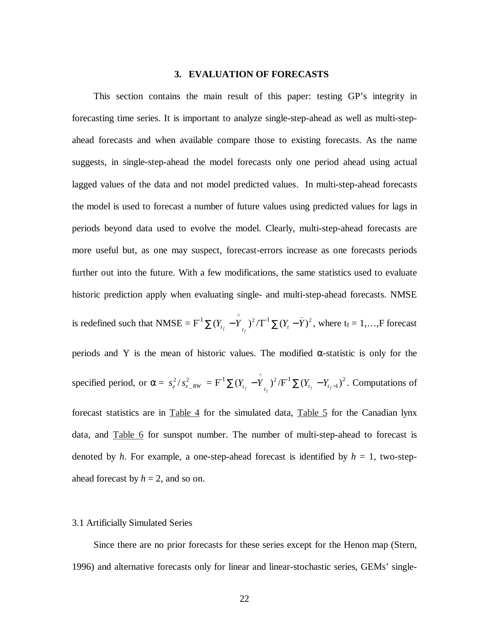## **3. EVALUATION OF FORECASTS**

This section contains the main result of this paper: testing GP's integrity in forecasting time series. It is important to analyze single-step-ahead as well as multi-stepahead forecasts and when available compare those to existing forecasts. As the name suggests, in single-step-ahead the model forecasts only one period ahead using actual lagged values of the data and not model predicted values. In multi-step-ahead forecasts the model is used to forecast a number of future values using predicted values for lags in periods beyond data used to evolve the model. Clearly, multi-step-ahead forecasts are more useful but, as one may suspect, forecast-errors increase as one forecasts periods further out into the future. With a few modifications, the same statistics used to evaluate historic prediction apply when evaluating single- and multi-step-ahead forecasts. NMSE is redefined such that NMSE =  $F^{-1} \sum (Y_{t_f} - \hat{Y}_{t_f})^2 / T^{-1} \sum (Y_t - \bar{Y})^2$ , where  $t_f = 1, ..., F$  forecast periods and  $\overline{Y}$  is the mean of historic values. The modified  $\alpha$ -statistic is only for the specified period, or  $\alpha = s_e^2 / s_{e_R/W}^2 = F^1 \sum (Y_{t_f} - Y_{t_f})^2 / F^1 \sum (Y_{t_f} - Y_{t_f-1})^2$ . Computations of forecast statistics are in Table 4 for the simulated data, Table 5 for the Canadian lynx data, and Table 6 for sunspot number. The number of multi-step-ahead to forecast is denoted by *h*. For example, a one-step-ahead forecast is identified by  $h = 1$ , two-stepahead forecast by  $h = 2$ , and so on.

## 3.1 Artificially Simulated Series

Since there are no prior forecasts for these series except for the Henon map (Stern, 1996) and alternative forecasts only for linear and linear-stochastic series, GEMs' single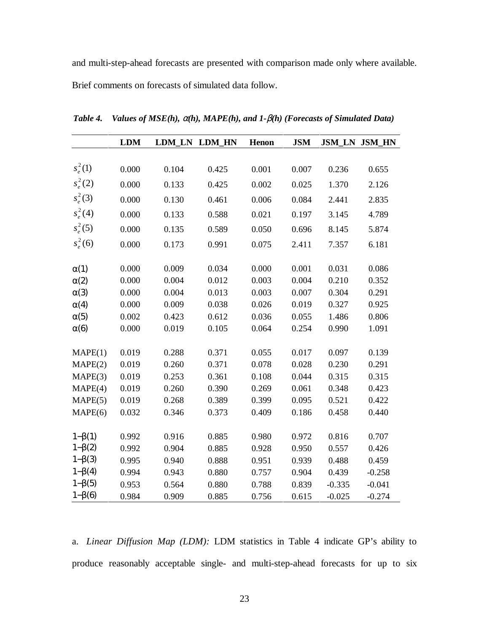and multi-step-ahead forecasts are presented with comparison made only where available. Brief comments on forecasts of simulated data follow.

|                | <b>LDM</b> |       | LDM_LN LDM_HN | Henon | <b>JSM</b> |          | <b>JSM_LN JSM_HN</b> |
|----------------|------------|-------|---------------|-------|------------|----------|----------------------|
|                |            |       |               |       |            |          |                      |
| $s_e^2(1)$     | 0.000      | 0.104 | 0.425         | 0.001 | 0.007      | 0.236    | 0.655                |
| $s_e^2(2)$     | 0.000      | 0.133 | 0.425         | 0.002 | 0.025      | 1.370    | 2.126                |
| $s_e^2(3)$     | 0.000      | 0.130 | 0.461         | 0.006 | 0.084      | 2.441    | 2.835                |
| $s_e^2(4)$     | 0.000      | 0.133 | 0.588         | 0.021 | 0.197      | 3.145    | 4.789                |
| $s_e^2(5)$     | 0.000      | 0.135 | 0.589         | 0.050 | 0.696      | 8.145    | 5.874                |
| $s_e^2(6)$     | 0.000      | 0.173 | 0.991         | 0.075 | 2.411      | 7.357    | 6.181                |
| $\alpha(1)$    | 0.000      | 0.009 | 0.034         | 0.000 | 0.001      | 0.031    | 0.086                |
| $\alpha(2)$    | 0.000      | 0.004 | 0.012         | 0.003 | 0.004      | 0.210    | 0.352                |
| $\alpha(3)$    | 0.000      | 0.004 | 0.013         | 0.003 | 0.007      | 0.304    | 0.291                |
| $\alpha(4)$    | 0.000      | 0.009 | 0.038         | 0.026 | 0.019      | 0.327    | 0.925                |
| $\alpha(5)$    | 0.002      | 0.423 | 0.612         | 0.036 | 0.055      | 1.486    | 0.806                |
| $\alpha(6)$    | 0.000      | 0.019 | 0.105         | 0.064 | 0.254      | 0.990    | 1.091                |
|                |            |       |               |       |            |          |                      |
| MAPE(1)        | 0.019      | 0.288 | 0.371         | 0.055 | 0.017      | 0.097    | 0.139                |
| MAPE(2)        | 0.019      | 0.260 | 0.371         | 0.078 | 0.028      | 0.230    | 0.291                |
| MAPE(3)        | 0.019      | 0.253 | 0.361         | 0.108 | 0.044      | 0.315    | 0.315                |
| MAPE(4)        | 0.019      | 0.260 | 0.390         | 0.269 | 0.061      | 0.348    | 0.423                |
| MAPE(5)        | 0.019      | 0.268 | 0.389         | 0.399 | 0.095      | 0.521    | 0.422                |
| MAPE(6)        | 0.032      | 0.346 | 0.373         | 0.409 | 0.186      | 0.458    | 0.440                |
| $1-\beta(1)$   | 0.992      | 0.916 | 0.885         | 0.980 | 0.972      | 0.816    | 0.707                |
| $1 - \beta(2)$ | 0.992      | 0.904 | 0.885         | 0.928 | 0.950      | 0.557    | 0.426                |
| $1-\beta(3)$   | 0.995      | 0.940 | 0.888         | 0.951 | 0.939      | 0.488    | 0.459                |
| $1 - \beta(4)$ | 0.994      | 0.943 | 0.880         | 0.757 | 0.904      | 0.439    | $-0.258$             |
| $1 - \beta(5)$ | 0.953      | 0.564 | 0.880         | 0.788 | 0.839      | $-0.335$ | $-0.041$             |
| $1-\beta(6)$   | 0.984      | 0.909 | 0.885         | 0.756 | 0.615      | $-0.025$ | $-0.274$             |

*Table 4. Values of MSE(h),* α*(h), MAPE(h), and 1-*β*(h) (Forecasts of Simulated Data)* 

a. *Linear Diffusion Map (LDM):* LDM statistics in Table 4 indicate GP's ability to produce reasonably acceptable single- and multi-step-ahead forecasts for up to six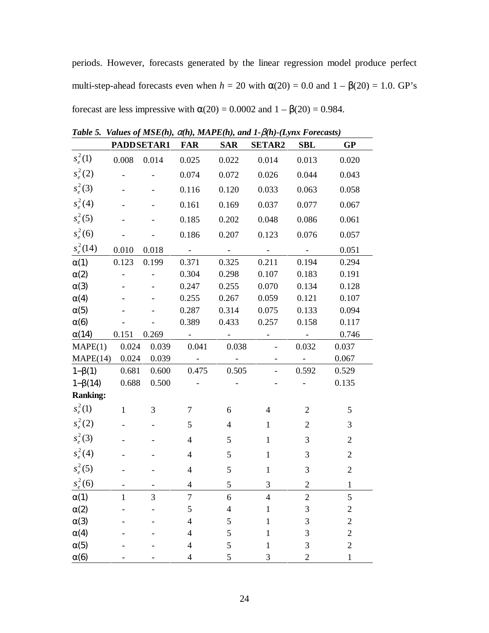periods. However, forecasts generated by the linear regression model produce perfect multi-step-ahead forecasts even when  $h = 20$  with  $\alpha(20) = 0.0$  and  $1 - \beta(20) = 1.0$ . GP's forecast are less impressive with  $\alpha(20) = 0.0002$  and  $1 - \beta(20) = 0.984$ .

|                 |              |            |                     |                          | Table 5. Values by MSE(n), Q(n), MAI E(n), and $1$ - $\rho$ (n)- $L$ yh $\lambda$ Porecasis) |                     |                |
|-----------------|--------------|------------|---------------------|--------------------------|----------------------------------------------------------------------------------------------|---------------------|----------------|
|                 |              | PADDSETAR1 | <b>FAR</b>          | <b>SAR</b>               | <b>SETAR2</b>                                                                                | <b>SBL</b>          | <b>GP</b>      |
| $s_e^2(1)$      | 0.008        | 0.014      | 0.025               | 0.022                    | 0.014                                                                                        | 0.013               | 0.020          |
| $s_e^2(2)$      |              |            | 0.074               | 0.072                    | 0.026                                                                                        | 0.044               | 0.043          |
| $s_e^2(3)$      |              |            | 0.116               | 0.120                    | 0.033                                                                                        | 0.063               | 0.058          |
| $s_e^2(4)$      |              |            | 0.161               | 0.169                    | 0.037                                                                                        | 0.077               | 0.067          |
| $s_e^2(5)$      |              |            | 0.185               | 0.202                    | 0.048                                                                                        | 0.086               | 0.061          |
| $s_e^2(6)$      |              |            | 0.186               | 0.207                    | 0.123                                                                                        | 0.076               | 0.057          |
| $s_e^2(14)$     | 0.010        | 0.018      | $\omega_{\rm{max}}$ | $\sim$ $ \sim$           | $\sigma_{\rm{max}}$                                                                          | $\sim 10^{-10}$     | 0.051          |
| $\alpha(1)$     | 0.123        | 0.199      | 0.371               | 0.325                    | 0.211                                                                                        | 0.194               | 0.294          |
| $\alpha(2)$     |              |            | 0.304               | 0.298                    | 0.107                                                                                        | 0.183               | 0.191          |
| $\alpha(3)$     |              |            | 0.247               | 0.255                    | 0.070                                                                                        | 0.134               | 0.128          |
| $\alpha(4)$     |              |            | 0.255               | 0.267                    | 0.059                                                                                        | 0.121               | 0.107          |
| $\alpha(5)$     |              |            | 0.287               | 0.314                    | 0.075                                                                                        | 0.133               | 0.094          |
| $\alpha(6)$     |              |            | 0.389               | 0.433                    | 0.257                                                                                        | 0.158               | 0.117          |
| $\alpha(14)$    | 0.151        | 0.269      |                     | $\overline{\phantom{a}}$ |                                                                                              | $\sim$ $ \sim$      | 0.746          |
| MAPE(1)         | 0.024        | 0.039      | 0.041               | 0.038                    |                                                                                              | 0.032               | 0.037          |
| MAPE(14) 0.024  |              | 0.039      | $\sigma_{\rm{max}}$ | $\sim$ $-$               |                                                                                              | $\omega_{\rm{eff}}$ | 0.067          |
| $1-\beta(1)$    | 0.681        | 0.600      | 0.475               | 0.505                    |                                                                                              | 0.592               | 0.529          |
| $1-\beta(14)$   | 0.688        | 0.500      |                     |                          |                                                                                              |                     | 0.135          |
| <b>Ranking:</b> |              |            |                     |                          |                                                                                              |                     |                |
| $s_e^2(1)$      | $\mathbf{1}$ | 3          | $\tau$              | 6                        | $\overline{4}$                                                                               | $\overline{2}$      | 5              |
| $s_e^2(2)$      |              |            | 5                   | $\overline{4}$           | $\mathbf{1}$                                                                                 | $\overline{2}$      | 3              |
| $s_e^2(3)$      |              |            | $\overline{4}$      | 5                        | $\mathbf{1}$                                                                                 | 3                   | $\overline{2}$ |
| $s_e^2(4)$      |              |            | $\overline{4}$      | 5                        | $\mathbf{1}$                                                                                 | 3                   | $\overline{2}$ |
| $s_e^2(5)$      |              |            | $\overline{4}$      | 5                        | $\mathbf{1}$                                                                                 | 3                   | $\sqrt{2}$     |
| $s_e^2(6)$      |              | -          | $\overline{4}$      | 5                        | 3                                                                                            | $\overline{2}$      | $\mathbf{1}$   |
| $\alpha(1)$     | 1            | 3          | 7                   | 6                        | 4                                                                                            | $\mathbf{2}$        | 5              |
| $\alpha(2)$     |              |            | 5                   | 4                        |                                                                                              | 3                   | $\overline{c}$ |
| $\alpha(3)$     |              |            | 4                   | 5                        |                                                                                              | 3                   | $\overline{c}$ |
| $\alpha(4)$     |              |            | 4                   | 5                        | 1                                                                                            | 3                   | $\mathbf{2}$   |
| $\alpha(5)$     |              |            | 4                   | 5                        | 1                                                                                            | 3                   | $\overline{c}$ |
| $\alpha(6)$     |              |            | 4                   | 5                        | 3                                                                                            | $\overline{2}$      | $\mathbf 1$    |

*Table 5. Values of MSE(h),* α*(h), MAPE(h), and 1-*β*(h)-(Lynx Forecasts)*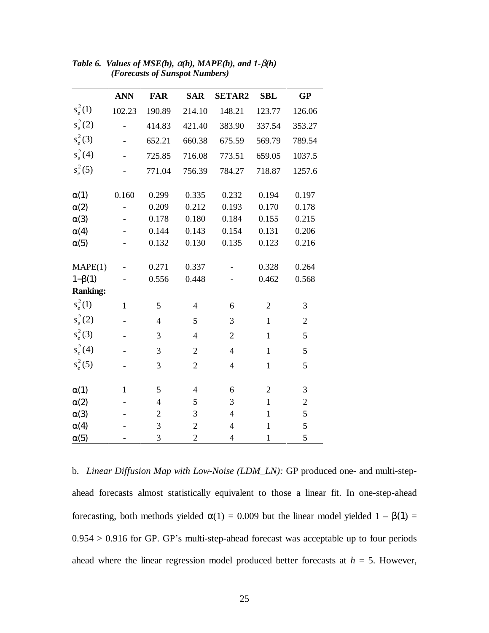|                 | <b>ANN</b>   | <b>FAR</b>     | <b>SAR</b>     | <b>SETAR2</b>  | <b>SBL</b>     | <b>GP</b>      |
|-----------------|--------------|----------------|----------------|----------------|----------------|----------------|
| $s_e^2(1)$      | 102.23       | 190.89         | 214.10         | 148.21         | 123.77         | 126.06         |
| $s_e^2(2)$      |              | 414.83         | 421.40         | 383.90         | 337.54         | 353.27         |
| $s_e^2(3)$      |              | 652.21         | 660.38         | 675.59         | 569.79         | 789.54         |
| $s_e^2(4)$      |              | 725.85         | 716.08         | 773.51         | 659.05         | 1037.5         |
| $s_e^2(5)$      |              | 771.04         | 756.39         | 784.27         | 718.87         | 1257.6         |
| $\alpha(1)$     | 0.160        | 0.299          | 0.335          | 0.232          | 0.194          | 0.197          |
| $\alpha(2)$     |              | 0.209          | 0.212          | 0.193          | 0.170          | 0.178          |
| $\alpha(3)$     |              | 0.178          | 0.180          | 0.184          | 0.155          | 0.215          |
| $\alpha(4)$     |              | 0.144          | 0.143          | 0.154          | 0.131          | 0.206          |
| $\alpha(5)$     |              | 0.132          | 0.130          | 0.135          | 0.123          | 0.216          |
| MAPE(1)         |              | 0.271          | 0.337          |                | 0.328          | 0.264          |
| $1-\beta(1)$    |              | 0.556          | 0.448          |                | 0.462          | 0.568          |
| <b>Ranking:</b> |              |                |                |                |                |                |
| $s_e^2(1)$      | $\mathbf{1}$ | 5              | $\overline{4}$ | 6              | $\overline{2}$ | 3              |
| $s_e^2(2)$      |              | $\overline{4}$ | 5              | 3              | $\mathbf{1}$   | $\overline{2}$ |
| $s_e^2(3)$      |              | 3              | $\overline{4}$ | $\overline{2}$ | $\mathbf{1}$   | 5              |
| $s_e^2(4)$      |              | 3              | $\overline{2}$ | $\overline{4}$ | $\mathbf{1}$   | 5              |
| $s_e^2(5)$      |              | 3              | $\overline{2}$ | 4              | $\mathbf{1}$   | 5              |
| $\alpha(1)$     | 1            | 5              | $\overline{4}$ | 6              | $\overline{2}$ | 3              |
| $\alpha(2)$     |              | $\overline{4}$ | 5              | 3              | $\mathbf{1}$   | $\overline{c}$ |
| $\alpha(3)$     |              | $\overline{2}$ | 3              | $\overline{4}$ | $\mathbf{1}$   | 5              |
| $\alpha(4)$     |              | 3              | $\overline{2}$ | $\overline{4}$ | $\mathbf{1}$   | 5              |
| $\alpha(5)$     |              | 3              | $\overline{2}$ | $\overline{4}$ | $\mathbf{1}$   | 5              |

*Table 6. Values of MSE(h),* α*(h), MAPE(h), and 1-*β*(h) (Forecasts of Sunspot Numbers)* 

b. *Linear Diffusion Map with Low-Noise (LDM\_LN):* GP produced one- and multi-stepahead forecasts almost statistically equivalent to those a linear fit. In one-step-ahead forecasting, both methods yielded  $\alpha(1) = 0.009$  but the linear model yielded  $1 - \beta(1) =$  $0.954 > 0.916$  for GP. GP's multi-step-ahead forecast was acceptable up to four periods ahead where the linear regression model produced better forecasts at  $h = 5$ . However,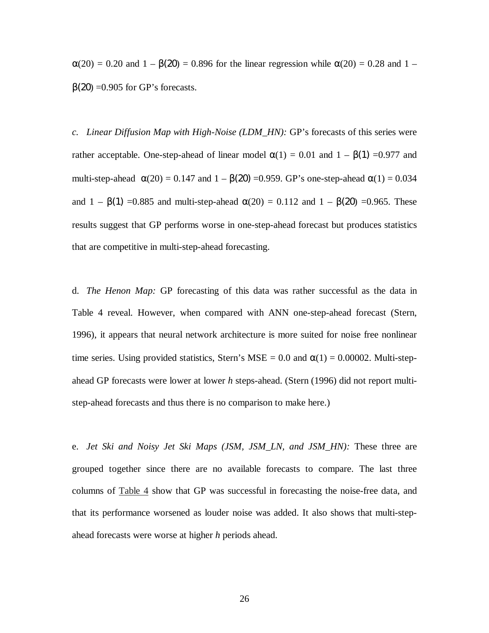$\alpha(20) = 0.20$  and  $1 - \beta(20) = 0.896$  for the linear regression while  $\alpha(20) = 0.28$  and  $1$  $β(20) = 0.905$  for GP's forecasts.

*c. Linear Diffusion Map with High-Noise (LDM\_HN):* GP's forecasts of this series were rather acceptable. One-step-ahead of linear model  $\alpha(1) = 0.01$  and  $1 - \beta(1) = 0.977$  and multi-step-ahead  $\alpha(20) = 0.147$  and  $1 - \beta(20) = 0.959$ . GP's one-step-ahead  $\alpha(1) = 0.034$ and  $1 - \beta(1) = 0.885$  and multi-step-ahead  $\alpha(20) = 0.112$  and  $1 - \beta(20) = 0.965$ . These results suggest that GP performs worse in one-step-ahead forecast but produces statistics that are competitive in multi-step-ahead forecasting.

d. *The Henon Map:* GP forecasting of this data was rather successful as the data in Table 4 reveal. However, when compared with ANN one-step-ahead forecast (Stern, 1996), it appears that neural network architecture is more suited for noise free nonlinear time series. Using provided statistics, Stern's MSE =  $0.0$  and  $\alpha(1) = 0.00002$ . Multi-stepahead GP forecasts were lower at lower *h* steps-ahead. (Stern (1996) did not report multistep-ahead forecasts and thus there is no comparison to make here.)

e. *Jet Ski and Noisy Jet Ski Maps (JSM, JSM\_LN, and JSM\_HN):* These three are grouped together since there are no available forecasts to compare. The last three columns of Table 4 show that GP was successful in forecasting the noise-free data, and that its performance worsened as louder noise was added. It also shows that multi-stepahead forecasts were worse at higher *h* periods ahead.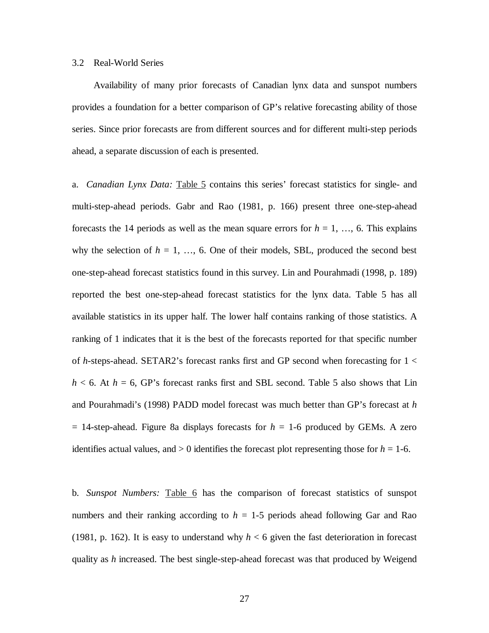### 3.2 Real-World Series

Availability of many prior forecasts of Canadian lynx data and sunspot numbers provides a foundation for a better comparison of GP's relative forecasting ability of those series. Since prior forecasts are from different sources and for different multi-step periods ahead, a separate discussion of each is presented.

a. *Canadian Lynx Data:* Table 5 contains this series' forecast statistics for single- and multi-step-ahead periods. Gabr and Rao (1981, p. 166) present three one-step-ahead forecasts the 14 periods as well as the mean square errors for  $h = 1, \ldots, 6$ . This explains why the selection of  $h = 1, \ldots, 6$ . One of their models, SBL, produced the second best one-step-ahead forecast statistics found in this survey. Lin and Pourahmadi (1998, p. 189) reported the best one-step-ahead forecast statistics for the lynx data. Table 5 has all available statistics in its upper half. The lower half contains ranking of those statistics. A ranking of 1 indicates that it is the best of the forecasts reported for that specific number of *h*-steps-ahead. SETAR2's forecast ranks first and GP second when forecasting for 1 <  $h < 6$ . At  $h = 6$ , GP's forecast ranks first and SBL second. Table 5 also shows that Lin and Pourahmadi's (1998) PADD model forecast was much better than GP's forecast at *h*  $= 14$ -step-ahead. Figure 8a displays forecasts for  $h = 1$ -6 produced by GEMs. A zero identifies actual values, and  $> 0$  identifies the forecast plot representing those for  $h = 1-6$ .

b. *Sunspot Numbers:* Table 6 has the comparison of forecast statistics of sunspot numbers and their ranking according to  $h = 1.5$  periods ahead following Gar and Rao (1981, p. 162). It is easy to understand why  $h < 6$  given the fast deterioration in forecast quality as *h* increased. The best single-step-ahead forecast was that produced by Weigend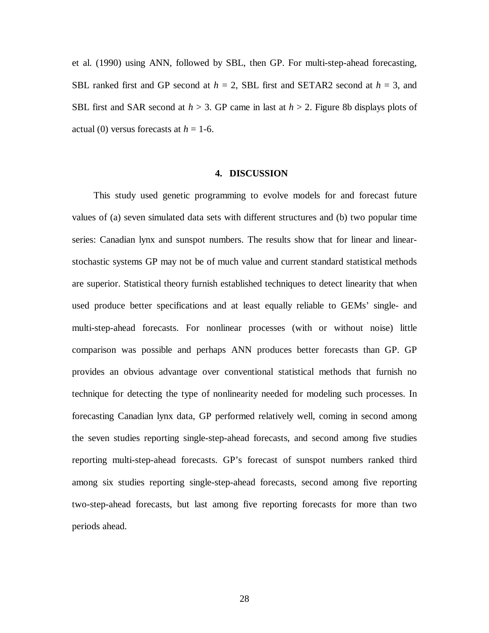et al. (1990) using ANN, followed by SBL, then GP. For multi-step-ahead forecasting, SBL ranked first and GP second at *h* = 2, SBL first and SETAR2 second at *h* = 3, and SBL first and SAR second at *h* > 3. GP came in last at *h* > 2. Figure 8b displays plots of actual (0) versus forecasts at  $h = 1$ -6.

#### **4. DISCUSSION**

This study used genetic programming to evolve models for and forecast future values of (a) seven simulated data sets with different structures and (b) two popular time series: Canadian lynx and sunspot numbers. The results show that for linear and linearstochastic systems GP may not be of much value and current standard statistical methods are superior. Statistical theory furnish established techniques to detect linearity that when used produce better specifications and at least equally reliable to GEMs' single- and multi-step-ahead forecasts. For nonlinear processes (with or without noise) little comparison was possible and perhaps ANN produces better forecasts than GP. GP provides an obvious advantage over conventional statistical methods that furnish no technique for detecting the type of nonlinearity needed for modeling such processes. In forecasting Canadian lynx data, GP performed relatively well, coming in second among the seven studies reporting single-step-ahead forecasts, and second among five studies reporting multi-step-ahead forecasts. GP's forecast of sunspot numbers ranked third among six studies reporting single-step-ahead forecasts, second among five reporting two-step-ahead forecasts, but last among five reporting forecasts for more than two periods ahead.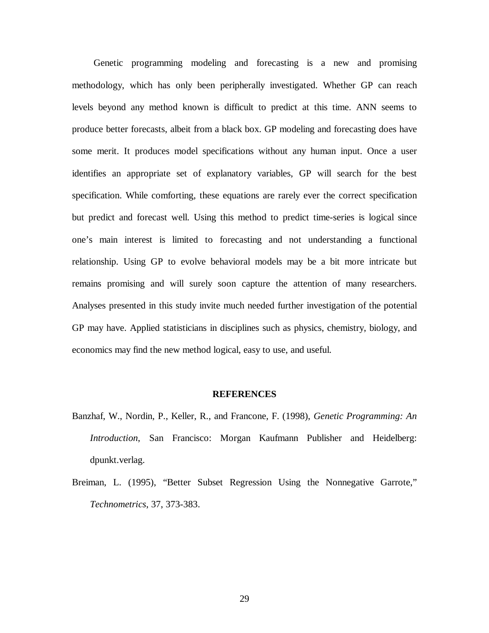Genetic programming modeling and forecasting is a new and promising methodology, which has only been peripherally investigated. Whether GP can reach levels beyond any method known is difficult to predict at this time. ANN seems to produce better forecasts, albeit from a black box. GP modeling and forecasting does have some merit. It produces model specifications without any human input. Once a user identifies an appropriate set of explanatory variables, GP will search for the best specification. While comforting, these equations are rarely ever the correct specification but predict and forecast well. Using this method to predict time-series is logical since one's main interest is limited to forecasting and not understanding a functional relationship. Using GP to evolve behavioral models may be a bit more intricate but remains promising and will surely soon capture the attention of many researchers. Analyses presented in this study invite much needed further investigation of the potential GP may have. Applied statisticians in disciplines such as physics, chemistry, biology, and economics may find the new method logical, easy to use, and useful.

#### **REFERENCES**

- Banzhaf, W., Nordin, P., Keller, R., and Francone, F. (1998), *Genetic Programming: An Introduction*, San Francisco: Morgan Kaufmann Publisher and Heidelberg: dpunkt.verlag.
- Breiman, L. (1995), "Better Subset Regression Using the Nonnegative Garrote," *Technometrics*, 37, 373-383.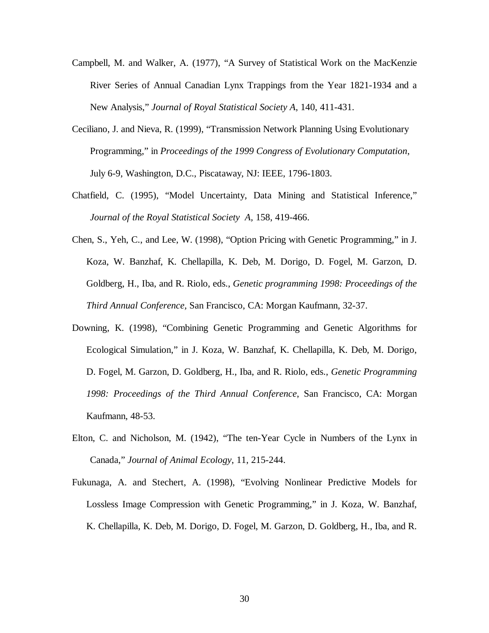- Campbell, M. and Walker, A. (1977), "A Survey of Statistical Work on the MacKenzie River Series of Annual Canadian Lynx Trappings from the Year 1821-1934 and a New Analysis," *Journal of Royal Statistical Society A*, 140, 411-431.
- Ceciliano, J. and Nieva, R. (1999), "Transmission Network Planning Using Evolutionary Programming," in *Proceedings of the 1999 Congress of Evolutionary Computation*, July 6-9, Washington, D.C., Piscataway, NJ: IEEE, 1796-1803.
- Chatfield, C. (1995), "Model Uncertainty, Data Mining and Statistical Inference," *Journal of the Royal Statistical Society A,* 158, 419-466.
- Chen, S., Yeh, C., and Lee, W. (1998), "Option Pricing with Genetic Programming," in J. Koza, W. Banzhaf, K. Chellapilla, K. Deb, M. Dorigo, D. Fogel, M. Garzon, D. Goldberg, H., Iba, and R. Riolo, eds., *Genetic programming 1998: Proceedings of the Third Annual Conference,* San Francisco, CA: Morgan Kaufmann, 32-37.
- Downing, K. (1998), "Combining Genetic Programming and Genetic Algorithms for Ecological Simulation," in J. Koza, W. Banzhaf, K. Chellapilla, K. Deb, M. Dorigo, D. Fogel, M. Garzon, D. Goldberg, H., Iba, and R. Riolo, eds., *Genetic Programming 1998: Proceedings of the Third Annual Conference*, San Francisco, CA: Morgan Kaufmann, 48-53.
- Elton, C. and Nicholson, M. (1942), "The ten-Year Cycle in Numbers of the Lynx in Canada," *Journal of Animal Ecology*, 11, 215-244.
- Fukunaga, A. and Stechert, A. (1998), "Evolving Nonlinear Predictive Models for Lossless Image Compression with Genetic Programming," in J. Koza, W. Banzhaf, K. Chellapilla, K. Deb, M. Dorigo, D. Fogel, M. Garzon, D. Goldberg, H., Iba, and R.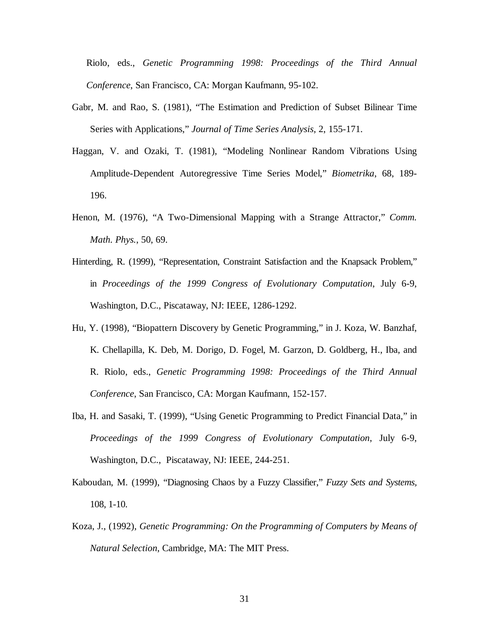Riolo, eds., *Genetic Programming 1998: Proceedings of the Third Annual Conference*, San Francisco, CA: Morgan Kaufmann, 95-102.

- Gabr, M. and Rao, S. (1981), "The Estimation and Prediction of Subset Bilinear Time Series with Applications," *Journal of Time Series Analysis*, 2, 155-171.
- Haggan, V. and Ozaki, T. (1981), "Modeling Nonlinear Random Vibrations Using Amplitude-Dependent Autoregressive Time Series Model," *Biometrika*, 68, 189- 196.
- Henon, M. (1976), "A Two-Dimensional Mapping with a Strange Attractor," *Comm. Math. Phys.*, 50, 69.
- Hinterding, R. (1999), "Representation, Constraint Satisfaction and the Knapsack Problem," in *Proceedings of the 1999 Congress of Evolutionary Computation*, July 6-9, Washington, D.C., Piscataway, NJ: IEEE, 1286-1292.
- Hu, Y. (1998), "Biopattern Discovery by Genetic Programming," in J. Koza, W. Banzhaf, K. Chellapilla, K. Deb, M. Dorigo, D. Fogel, M. Garzon, D. Goldberg, H., Iba, and R. Riolo, eds., *Genetic Programming 1998: Proceedings of the Third Annual Conference*, San Francisco, CA: Morgan Kaufmann, 152-157.
- Iba, H. and Sasaki, T. (1999), "Using Genetic Programming to Predict Financial Data," in *Proceedings of the 1999 Congress of Evolutionary Computation*, July 6-9, Washington, D.C., Piscataway, NJ: IEEE, 244-251.
- Kaboudan, M. (1999), "Diagnosing Chaos by a Fuzzy Classifier," *Fuzzy Sets and Systems,*  108, 1-10.
- Koza, J., (1992), *Genetic Programming: On the Programming of Computers by Means of Natural Selection*, Cambridge, MA: The MIT Press.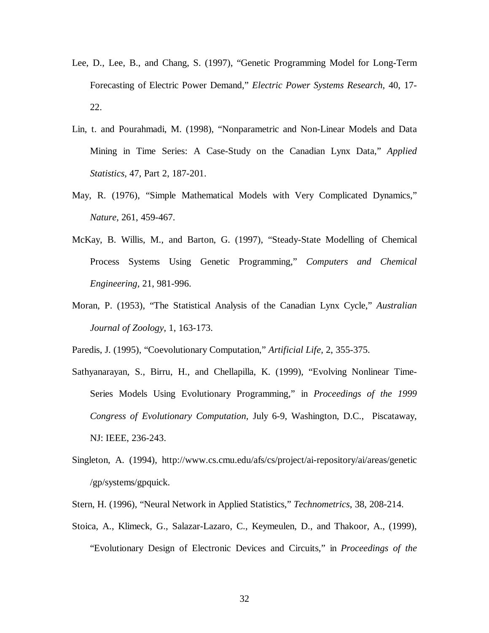- Lee, D., Lee, B., and Chang, S. (1997), "Genetic Programming Model for Long-Term Forecasting of Electric Power Demand," *Electric Power Systems Research,* 40, 17- 22.
- Lin, t. and Pourahmadi, M. (1998), "Nonparametric and Non-Linear Models and Data Mining in Time Series: A Case-Study on the Canadian Lynx Data," *Applied Statistics,* 47, Part 2, 187-201.
- May, R. (1976), "Simple Mathematical Models with Very Complicated Dynamics," *Nature*, 261, 459-467.
- McKay, B. Willis, M., and Barton, G. (1997), "Steady-State Modelling of Chemical Process Systems Using Genetic Programming," *Computers and Chemical Engineering,* 21, 981-996.
- Moran, P. (1953), "The Statistical Analysis of the Canadian Lynx Cycle," *Australian Journal of Zoology*, 1, 163-173.
- Paredis, J. (1995), "Coevolutionary Computation," *Artificial Life,* 2, 355-375.
- Sathyanarayan, S., Birru, H., and Chellapilla, K. (1999), "Evolving Nonlinear Time-Series Models Using Evolutionary Programming," in *Proceedings of the 1999 Congress of Evolutionary Computation,* July 6-9, Washington, D.C., Piscataway, NJ: IEEE, 236-243.
- Singleton, A. (1994), http://www.cs.cmu.edu/afs/cs/project/ai-repository/ai/areas/genetic /gp/systems/gpquick.
- Stern, H. (1996), "Neural Network in Applied Statistics," *Technometrics*, 38, 208-214.
- Stoica, A., Klimeck, G., Salazar-Lazaro, C., Keymeulen, D., and Thakoor, A., (1999), "Evolutionary Design of Electronic Devices and Circuits," in *Proceedings of the*